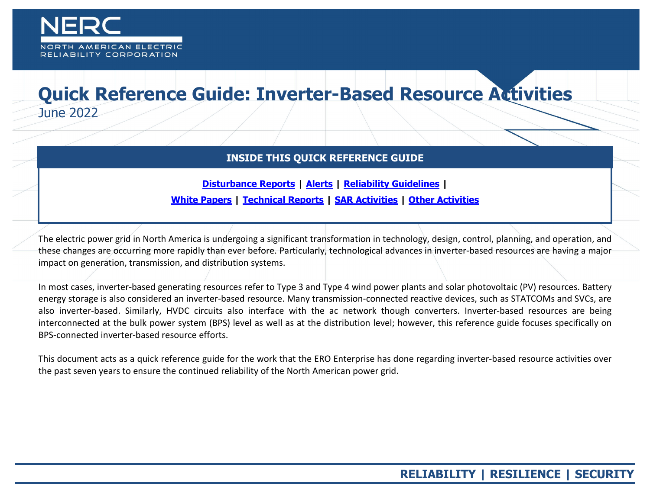

## **Quick Reference Guide: Inverter-Based Resource Activities**  June 2022

## **INSIDE THIS QUICK REFERENCE GUIDE**

**[Disturbance Reports](#page-1-0) | [Alerts](#page-4-0) | [Reliability Guidelines](#page-6-0) |**

**[White Papers](#page-7-0) | [Technical Reports](#page-9-0) | [SAR Activities](#page-10-0) | [Other Activities](#page-11-0)**

The electric power grid in North America is undergoing a significant transformation in technology, design, control, planning, and operation, and these changes are occurring more rapidly than ever before. Particularly, technological advances in inverter-based resources are having a major impact on generation, transmission, and distribution systems.

In most cases, inverter-based generating resources refer to Type 3 and Type 4 wind power plants and solar photovoltaic (PV) resources. Battery energy storage is also considered an inverter-based resource. Many transmission-connected reactive devices, such as STATCOMs and SVCs, are also inverter-based. Similarly, HVDC circuits also interface with the ac network though converters. Inverter-based resources are being interconnected at the bulk power system (BPS) level as well as at the distribution level; however, this reference guide focuses specifically on BPS-connected inverter-based resource efforts.

This document acts as a quick reference guide for the work that the ERO Enterprise has done regarding inverter-based resource activities over the past seven years to ensure the continued reliability of the North American power grid.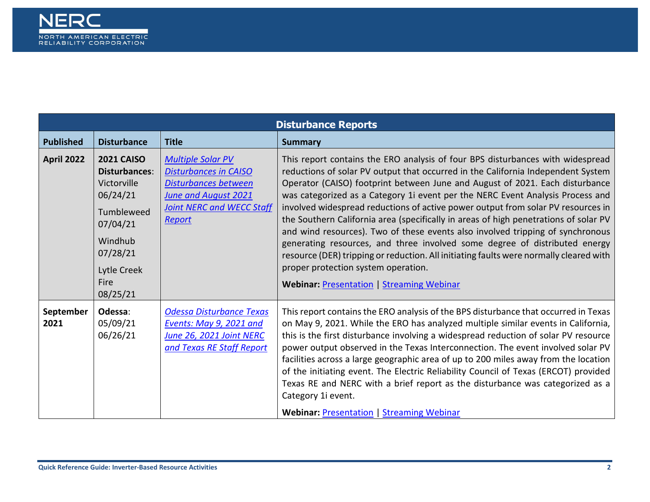<span id="page-1-0"></span>

| <b>Disturbance Reports</b> |                                                                                                                                                                 |                                                                                                                                                        |                                                                                                                                                                                                                                                                                                                                                                                                                                                                                                                                                                                                                                                                                                                                                                                                                                                                       |
|----------------------------|-----------------------------------------------------------------------------------------------------------------------------------------------------------------|--------------------------------------------------------------------------------------------------------------------------------------------------------|-----------------------------------------------------------------------------------------------------------------------------------------------------------------------------------------------------------------------------------------------------------------------------------------------------------------------------------------------------------------------------------------------------------------------------------------------------------------------------------------------------------------------------------------------------------------------------------------------------------------------------------------------------------------------------------------------------------------------------------------------------------------------------------------------------------------------------------------------------------------------|
| <b>Published</b>           | <b>Disturbance</b>                                                                                                                                              | <b>Title</b>                                                                                                                                           | <b>Summary</b>                                                                                                                                                                                                                                                                                                                                                                                                                                                                                                                                                                                                                                                                                                                                                                                                                                                        |
| <b>April 2022</b>          | <b>2021 CAISO</b><br><b>Disturbances:</b><br>Victorville<br>06/24/21<br>Tumbleweed<br>07/04/21<br>Windhub<br>07/28/21<br>Lytle Creek<br><b>Fire</b><br>08/25/21 | <b>Multiple Solar PV</b><br><b>Disturbances in CAISO</b><br>Disturbances between<br>June and August 2021<br><b>Joint NERC and WECC Staff</b><br>Report | This report contains the ERO analysis of four BPS disturbances with widespread<br>reductions of solar PV output that occurred in the California Independent System<br>Operator (CAISO) footprint between June and August of 2021. Each disturbance<br>was categorized as a Category 1i event per the NERC Event Analysis Process and<br>involved widespread reductions of active power output from solar PV resources in<br>the Southern California area (specifically in areas of high penetrations of solar PV<br>and wind resources). Two of these events also involved tripping of synchronous<br>generating resources, and three involved some degree of distributed energy<br>resource (DER) tripping or reduction. All initiating faults were normally cleared with<br>proper protection system operation.<br><b>Webinar: Presentation   Streaming Webinar</b> |
| September<br>2021          | Odessa:<br>05/09/21<br>06/26/21                                                                                                                                 | Odessa Disturbance Texas<br>Events: May 9, 2021 and<br><b>June 26, 2021 Joint NERC</b><br>and Texas RE Staff Report                                    | This report contains the ERO analysis of the BPS disturbance that occurred in Texas<br>on May 9, 2021. While the ERO has analyzed multiple similar events in California,<br>this is the first disturbance involving a widespread reduction of solar PV resource<br>power output observed in the Texas Interconnection. The event involved solar PV<br>facilities across a large geographic area of up to 200 miles away from the location<br>of the initiating event. The Electric Reliability Council of Texas (ERCOT) provided<br>Texas RE and NERC with a brief report as the disturbance was categorized as a<br>Category 1i event.<br><b>Webinar: Presentation   Streaming Webinar</b>                                                                                                                                                                           |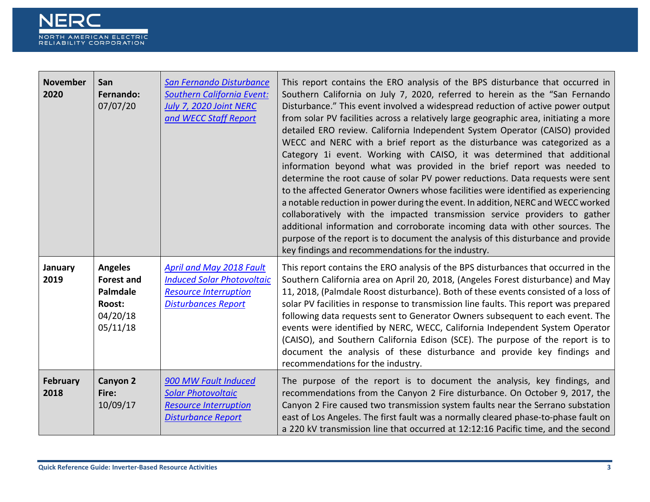

| <b>November</b><br>2020 | San<br>Fernando:<br>07/07/20                                                      | San Fernando Disturbance<br><b>Southern California Event:</b><br>July 7, 2020 Joint NERC<br>and WECC Staff Report                  | This report contains the ERO analysis of the BPS disturbance that occurred in<br>Southern California on July 7, 2020, referred to herein as the "San Fernando<br>Disturbance." This event involved a widespread reduction of active power output<br>from solar PV facilities across a relatively large geographic area, initiating a more<br>detailed ERO review. California Independent System Operator (CAISO) provided<br>WECC and NERC with a brief report as the disturbance was categorized as a<br>Category 1i event. Working with CAISO, it was determined that additional<br>information beyond what was provided in the brief report was needed to<br>determine the root cause of solar PV power reductions. Data requests were sent<br>to the affected Generator Owners whose facilities were identified as experiencing<br>a notable reduction in power during the event. In addition, NERC and WECC worked<br>collaboratively with the impacted transmission service providers to gather<br>additional information and corroborate incoming data with other sources. The<br>purpose of the report is to document the analysis of this disturbance and provide<br>key findings and recommendations for the industry. |
|-------------------------|-----------------------------------------------------------------------------------|------------------------------------------------------------------------------------------------------------------------------------|----------------------------------------------------------------------------------------------------------------------------------------------------------------------------------------------------------------------------------------------------------------------------------------------------------------------------------------------------------------------------------------------------------------------------------------------------------------------------------------------------------------------------------------------------------------------------------------------------------------------------------------------------------------------------------------------------------------------------------------------------------------------------------------------------------------------------------------------------------------------------------------------------------------------------------------------------------------------------------------------------------------------------------------------------------------------------------------------------------------------------------------------------------------------------------------------------------------------------------|
| January<br>2019         | <b>Angeles</b><br><b>Forest and</b><br>Palmdale<br>Roost:<br>04/20/18<br>05/11/18 | <b>April and May 2018 Fault</b><br><b>Induced Solar Photovoltaic</b><br><b>Resource Interruption</b><br><b>Disturbances Report</b> | This report contains the ERO analysis of the BPS disturbances that occurred in the<br>Southern California area on April 20, 2018, (Angeles Forest disturbance) and May<br>11, 2018, (Palmdale Roost disturbance). Both of these events consisted of a loss of<br>solar PV facilities in response to transmission line faults. This report was prepared<br>following data requests sent to Generator Owners subsequent to each event. The<br>events were identified by NERC, WECC, California Independent System Operator<br>(CAISO), and Southern California Edison (SCE). The purpose of the report is to<br>document the analysis of these disturbance and provide key findings and<br>recommendations for the industry.                                                                                                                                                                                                                                                                                                                                                                                                                                                                                                       |
| <b>February</b><br>2018 | Canyon 2<br>Fire:<br>10/09/17                                                     | 900 MW Fault Induced<br><b>Solar Photovoltaic</b><br><b>Resource Interruption</b><br><b>Disturbance Report</b>                     | The purpose of the report is to document the analysis, key findings, and<br>recommendations from the Canyon 2 Fire disturbance. On October 9, 2017, the<br>Canyon 2 Fire caused two transmission system faults near the Serrano substation<br>east of Los Angeles. The first fault was a normally cleared phase-to-phase fault on<br>a 220 kV transmission line that occurred at 12:12:16 Pacific time, and the second                                                                                                                                                                                                                                                                                                                                                                                                                                                                                                                                                                                                                                                                                                                                                                                                           |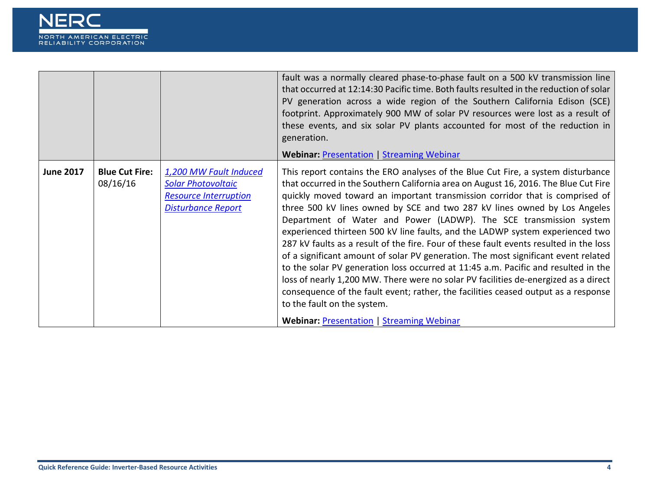

|                  |                                   |                                                                                                                  | fault was a normally cleared phase-to-phase fault on a 500 kV transmission line<br>that occurred at 12:14:30 Pacific time. Both faults resulted in the reduction of solar<br>PV generation across a wide region of the Southern California Edison (SCE)<br>footprint. Approximately 900 MW of solar PV resources were lost as a result of<br>these events, and six solar PV plants accounted for most of the reduction in<br>generation.<br><b>Webinar: Presentation   Streaming Webinar</b>                                                                                                                                                                                                                                                                                                                                                                                                                                                                                                                                      |
|------------------|-----------------------------------|------------------------------------------------------------------------------------------------------------------|-----------------------------------------------------------------------------------------------------------------------------------------------------------------------------------------------------------------------------------------------------------------------------------------------------------------------------------------------------------------------------------------------------------------------------------------------------------------------------------------------------------------------------------------------------------------------------------------------------------------------------------------------------------------------------------------------------------------------------------------------------------------------------------------------------------------------------------------------------------------------------------------------------------------------------------------------------------------------------------------------------------------------------------|
| <b>June 2017</b> | <b>Blue Cut Fire:</b><br>08/16/16 | 1,200 MW Fault Induced<br><b>Solar Photovoltaic</b><br><b>Resource Interruption</b><br><b>Disturbance Report</b> | This report contains the ERO analyses of the Blue Cut Fire, a system disturbance<br>that occurred in the Southern California area on August 16, 2016. The Blue Cut Fire<br>quickly moved toward an important transmission corridor that is comprised of<br>three 500 kV lines owned by SCE and two 287 kV lines owned by Los Angeles<br>Department of Water and Power (LADWP). The SCE transmission system<br>experienced thirteen 500 kV line faults, and the LADWP system experienced two<br>287 kV faults as a result of the fire. Four of these fault events resulted in the loss<br>of a significant amount of solar PV generation. The most significant event related<br>to the solar PV generation loss occurred at 11:45 a.m. Pacific and resulted in the<br>loss of nearly 1,200 MW. There were no solar PV facilities de-energized as a direct<br>consequence of the fault event; rather, the facilities ceased output as a response<br>to the fault on the system.<br><b>Webinar: Presentation   Streaming Webinar</b> |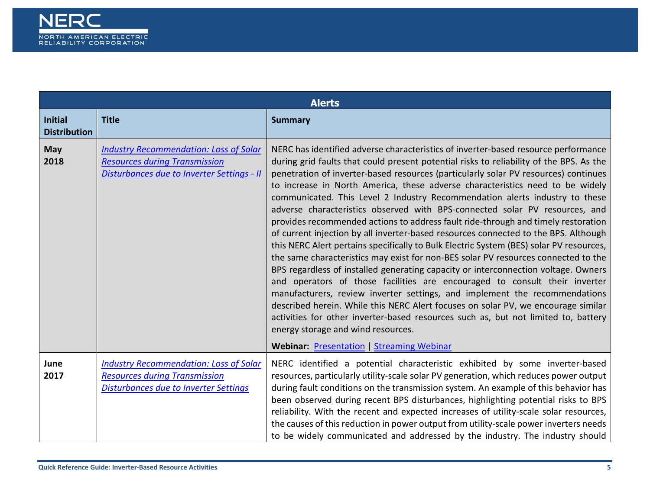<span id="page-4-0"></span>

|                                       | <b>Alerts</b>                                                                                                                         |                                                                                                                                                                                                                                                                                                                                                                                                                                                                                                                                                                                                                                                                                                                                                                                                                                                                                                                                                                                                                                                                                                                                                                                                                                                                                                                                                     |  |
|---------------------------------------|---------------------------------------------------------------------------------------------------------------------------------------|-----------------------------------------------------------------------------------------------------------------------------------------------------------------------------------------------------------------------------------------------------------------------------------------------------------------------------------------------------------------------------------------------------------------------------------------------------------------------------------------------------------------------------------------------------------------------------------------------------------------------------------------------------------------------------------------------------------------------------------------------------------------------------------------------------------------------------------------------------------------------------------------------------------------------------------------------------------------------------------------------------------------------------------------------------------------------------------------------------------------------------------------------------------------------------------------------------------------------------------------------------------------------------------------------------------------------------------------------------|--|
| <b>Initial</b><br><b>Distribution</b> | <b>Title</b>                                                                                                                          | <b>Summary</b>                                                                                                                                                                                                                                                                                                                                                                                                                                                                                                                                                                                                                                                                                                                                                                                                                                                                                                                                                                                                                                                                                                                                                                                                                                                                                                                                      |  |
| <b>May</b><br>2018                    | <b>Industry Recommendation: Loss of Solar</b><br><b>Resources during Transmission</b><br>Disturbances due to Inverter Settings - II   | NERC has identified adverse characteristics of inverter-based resource performance<br>during grid faults that could present potential risks to reliability of the BPS. As the<br>penetration of inverter-based resources (particularly solar PV resources) continues<br>to increase in North America, these adverse characteristics need to be widely<br>communicated. This Level 2 Industry Recommendation alerts industry to these<br>adverse characteristics observed with BPS-connected solar PV resources, and<br>provides recommended actions to address fault ride-through and timely restoration<br>of current injection by all inverter-based resources connected to the BPS. Although<br>this NERC Alert pertains specifically to Bulk Electric System (BES) solar PV resources,<br>the same characteristics may exist for non-BES solar PV resources connected to the<br>BPS regardless of installed generating capacity or interconnection voltage. Owners<br>and operators of those facilities are encouraged to consult their inverter<br>manufacturers, review inverter settings, and implement the recommendations<br>described herein. While this NERC Alert focuses on solar PV, we encourage similar<br>activities for other inverter-based resources such as, but not limited to, battery<br>energy storage and wind resources. |  |
|                                       |                                                                                                                                       | <b>Webinar: Presentation   Streaming Webinar</b>                                                                                                                                                                                                                                                                                                                                                                                                                                                                                                                                                                                                                                                                                                                                                                                                                                                                                                                                                                                                                                                                                                                                                                                                                                                                                                    |  |
| June<br>2017                          | <b>Industry Recommendation: Loss of Solar</b><br><b>Resources during Transmission</b><br><b>Disturbances due to Inverter Settings</b> | NERC identified a potential characteristic exhibited by some inverter-based<br>resources, particularly utility-scale solar PV generation, which reduces power output<br>during fault conditions on the transmission system. An example of this behavior has<br>been observed during recent BPS disturbances, highlighting potential risks to BPS<br>reliability. With the recent and expected increases of utility-scale solar resources,<br>the causes of this reduction in power output from utility-scale power inverters needs<br>to be widely communicated and addressed by the industry. The industry should                                                                                                                                                                                                                                                                                                                                                                                                                                                                                                                                                                                                                                                                                                                                  |  |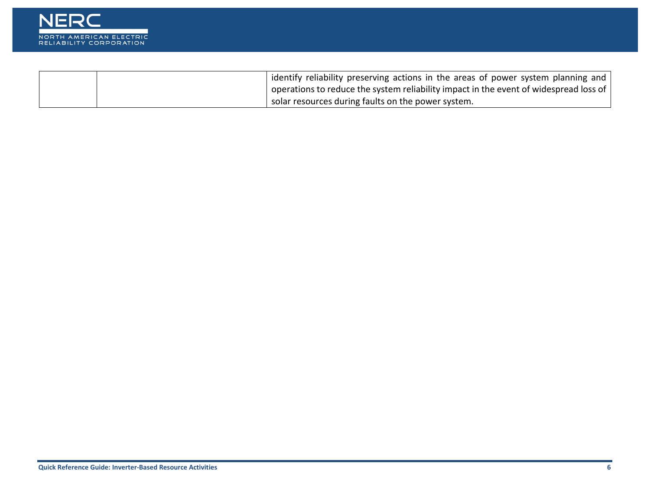

|  | <sup>1</sup> identify reliability preserving actions in the areas of power system planning and        |
|--|-------------------------------------------------------------------------------------------------------|
|  | $\vert$ operations to reduce the system reliability impact in the event of widespread loss of $\vert$ |
|  | solar resources during faults on the power system.                                                    |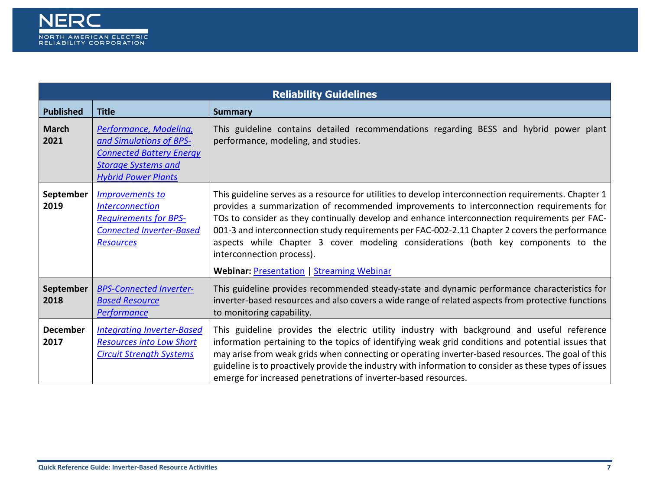<span id="page-6-0"></span>

| <b>Reliability Guidelines</b> |                                                                                                                                                  |                                                                                                                                                                                                                                                                                                                                                                                                                                                                                                                                                                           |
|-------------------------------|--------------------------------------------------------------------------------------------------------------------------------------------------|---------------------------------------------------------------------------------------------------------------------------------------------------------------------------------------------------------------------------------------------------------------------------------------------------------------------------------------------------------------------------------------------------------------------------------------------------------------------------------------------------------------------------------------------------------------------------|
| <b>Published</b>              | <b>Title</b>                                                                                                                                     | <b>Summary</b>                                                                                                                                                                                                                                                                                                                                                                                                                                                                                                                                                            |
| <b>March</b><br>2021          | Performance, Modeling,<br>and Simulations of BPS-<br><b>Connected Battery Energy</b><br><b>Storage Systems and</b><br><b>Hybrid Power Plants</b> | This guideline contains detailed recommendations regarding BESS and hybrid power plant<br>performance, modeling, and studies.                                                                                                                                                                                                                                                                                                                                                                                                                                             |
| September<br>2019             | <b>Improvements to</b><br><b>Interconnection</b><br><b>Requirements for BPS-</b><br><b>Connected Inverter-Based</b><br><b>Resources</b>          | This guideline serves as a resource for utilities to develop interconnection requirements. Chapter 1<br>provides a summarization of recommended improvements to interconnection requirements for<br>TOs to consider as they continually develop and enhance interconnection requirements per FAC-<br>001-3 and interconnection study requirements per FAC-002-2.11 Chapter 2 covers the performance<br>aspects while Chapter 3 cover modeling considerations (both key components to the<br>interconnection process).<br><b>Webinar: Presentation   Streaming Webinar</b> |
| September<br>2018             | <b>BPS-Connected Inverter-</b><br><b>Based Resource</b><br>Performance                                                                           | This guideline provides recommended steady-state and dynamic performance characteristics for<br>inverter-based resources and also covers a wide range of related aspects from protective functions<br>to monitoring capability.                                                                                                                                                                                                                                                                                                                                           |
| <b>December</b><br>2017       | <b>Integrating Inverter-Based</b><br><b>Resources into Low Short</b><br><b>Circuit Strength Systems</b>                                          | This guideline provides the electric utility industry with background and useful reference<br>information pertaining to the topics of identifying weak grid conditions and potential issues that<br>may arise from weak grids when connecting or operating inverter-based resources. The goal of this<br>guideline is to proactively provide the industry with information to consider as these types of issues<br>emerge for increased penetrations of inverter-based resources.                                                                                         |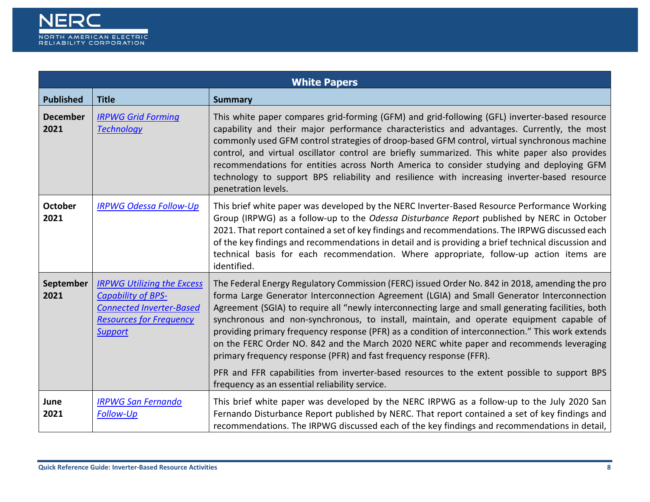

<span id="page-7-0"></span>

| <b>White Papers</b>     |                                                                                                                                                       |                                                                                                                                                                                                                                                                                                                                                                                                                                                                                                                                                                                                                                                                                                                                                                     |  |
|-------------------------|-------------------------------------------------------------------------------------------------------------------------------------------------------|---------------------------------------------------------------------------------------------------------------------------------------------------------------------------------------------------------------------------------------------------------------------------------------------------------------------------------------------------------------------------------------------------------------------------------------------------------------------------------------------------------------------------------------------------------------------------------------------------------------------------------------------------------------------------------------------------------------------------------------------------------------------|--|
| <b>Published</b>        | <b>Title</b>                                                                                                                                          | <b>Summary</b>                                                                                                                                                                                                                                                                                                                                                                                                                                                                                                                                                                                                                                                                                                                                                      |  |
| <b>December</b><br>2021 | <b>IRPWG Grid Forming</b><br><b>Technology</b>                                                                                                        | This white paper compares grid-forming (GFM) and grid-following (GFL) inverter-based resource<br>capability and their major performance characteristics and advantages. Currently, the most<br>commonly used GFM control strategies of droop-based GFM control, virtual synchronous machine<br>control, and virtual oscillator control are briefly summarized. This white paper also provides<br>recommendations for entities across North America to consider studying and deploying GFM<br>technology to support BPS reliability and resilience with increasing inverter-based resource<br>penetration levels.                                                                                                                                                    |  |
| <b>October</b><br>2021  | <b>IRPWG Odessa Follow-Up</b>                                                                                                                         | This brief white paper was developed by the NERC Inverter-Based Resource Performance Working<br>Group (IRPWG) as a follow-up to the <i>Odessa Disturbance Report</i> published by NERC in October<br>2021. That report contained a set of key findings and recommendations. The IRPWG discussed each<br>of the key findings and recommendations in detail and is providing a brief technical discussion and<br>technical basis for each recommendation. Where appropriate, follow-up action items are<br>identified.                                                                                                                                                                                                                                                |  |
| September<br>2021       | <b>IRPWG Utilizing the Excess</b><br><b>Capability of BPS-</b><br><b>Connected Inverter-Based</b><br><b>Resources for Frequency</b><br><b>Support</b> | The Federal Energy Regulatory Commission (FERC) issued Order No. 842 in 2018, amending the pro<br>forma Large Generator Interconnection Agreement (LGIA) and Small Generator Interconnection<br>Agreement (SGIA) to require all "newly interconnecting large and small generating facilities, both<br>synchronous and non-synchronous, to install, maintain, and operate equipment capable of<br>providing primary frequency response (PFR) as a condition of interconnection." This work extends<br>on the FERC Order NO. 842 and the March 2020 NERC white paper and recommends leveraging<br>primary frequency response (PFR) and fast frequency response (FFR).<br>PFR and FFR capabilities from inverter-based resources to the extent possible to support BPS |  |
|                         |                                                                                                                                                       | frequency as an essential reliability service.                                                                                                                                                                                                                                                                                                                                                                                                                                                                                                                                                                                                                                                                                                                      |  |
| June<br>2021            | <b>IRPWG San Fernando</b><br><b>Follow-Up</b>                                                                                                         | This brief white paper was developed by the NERC IRPWG as a follow-up to the July 2020 San<br>Fernando Disturbance Report published by NERC. That report contained a set of key findings and<br>recommendations. The IRPWG discussed each of the key findings and recommendations in detail,                                                                                                                                                                                                                                                                                                                                                                                                                                                                        |  |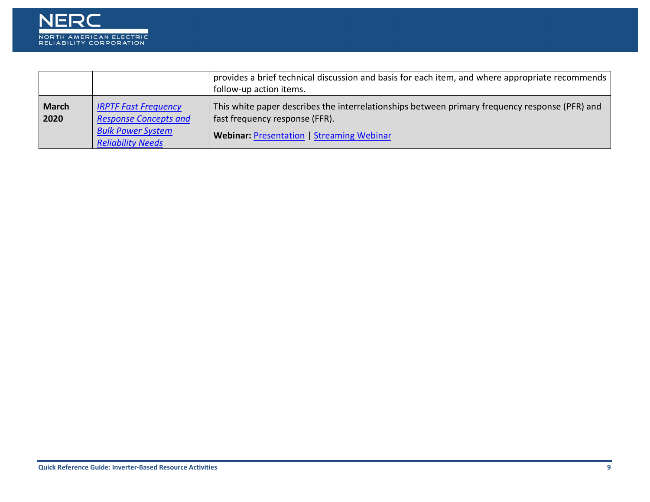

|                      |                                                             | provides a brief technical discussion and basis for each item, and where appropriate recommends                                  |
|----------------------|-------------------------------------------------------------|----------------------------------------------------------------------------------------------------------------------------------|
|                      |                                                             | follow-up action items.                                                                                                          |
| <b>March</b><br>2020 | <b>IRPTF Fast Frequency</b><br><b>Response Concepts and</b> | This white paper describes the interrelationships between primary frequency response (PFR) and<br>fast frequency response (FFR). |
|                      | <b>Bulk Power System</b><br><b>Reliability Needs</b>        | <b>Webinar: Presentation   Streaming Webinar</b>                                                                                 |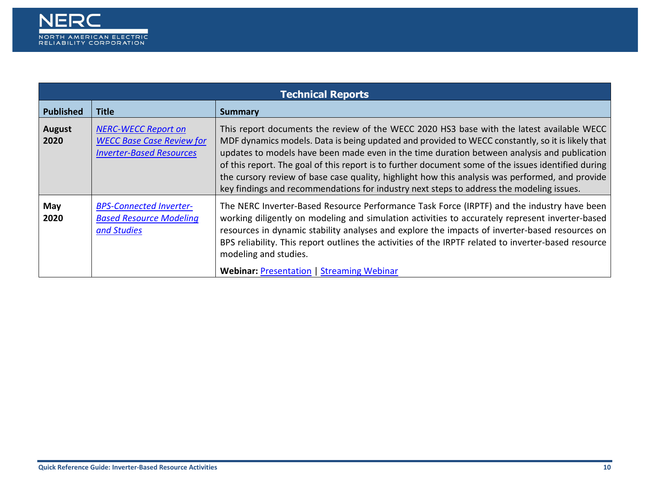

<span id="page-9-0"></span>

| <b>Technical Reports</b> |                                                                                                   |                                                                                                                                                                                                                                                                                                                                                                                                                                                                                                                                                                                                    |
|--------------------------|---------------------------------------------------------------------------------------------------|----------------------------------------------------------------------------------------------------------------------------------------------------------------------------------------------------------------------------------------------------------------------------------------------------------------------------------------------------------------------------------------------------------------------------------------------------------------------------------------------------------------------------------------------------------------------------------------------------|
| <b>Published</b>         | <b>Title</b>                                                                                      | Summary                                                                                                                                                                                                                                                                                                                                                                                                                                                                                                                                                                                            |
| <b>August</b><br>2020    | <b>NERC-WECC Report on</b><br><b>WECC Base Case Review for</b><br><b>Inverter-Based Resources</b> | This report documents the review of the WECC 2020 HS3 base with the latest available WECC<br>MDF dynamics models. Data is being updated and provided to WECC constantly, so it is likely that<br>updates to models have been made even in the time duration between analysis and publication<br>of this report. The goal of this report is to further document some of the issues identified during<br>the cursory review of base case quality, highlight how this analysis was performed, and provide<br>key findings and recommendations for industry next steps to address the modeling issues. |
| May<br>2020              | <b>BPS-Connected Inverter-</b><br><b>Based Resource Modeling</b><br>and Studies                   | The NERC Inverter-Based Resource Performance Task Force (IRPTF) and the industry have been<br>working diligently on modeling and simulation activities to accurately represent inverter-based<br>resources in dynamic stability analyses and explore the impacts of inverter-based resources on<br>BPS reliability. This report outlines the activities of the IRPTF related to inverter-based resource<br>modeling and studies.<br><b>Webinar: Presentation   Streaming Webinar</b>                                                                                                               |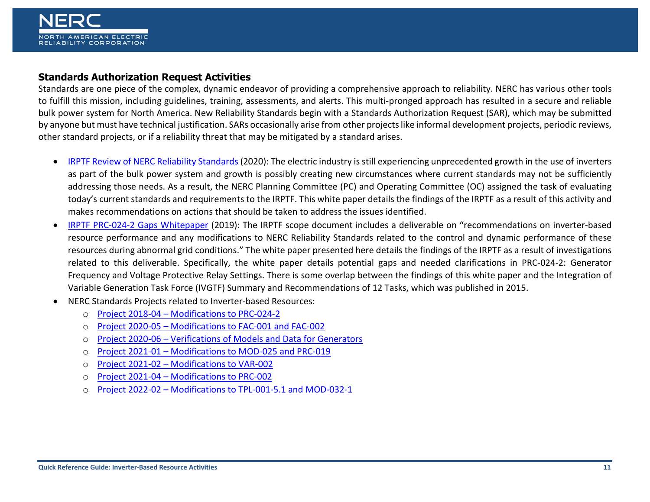## <span id="page-10-0"></span>**Standards Authorization Request Activities**

Standards are one piece of the complex, dynamic endeavor of providing a comprehensive approach to reliability. NERC has various other tools to fulfill this mission, including guidelines, training, assessments, and alerts. This multi-pronged approach has resulted in a secure and reliable bulk power system for North America. New Reliability Standards begin with a Standards Authorization Request (SAR), which may be submitted by anyone but must have technical justification. SARs occasionally arise from other projects like informal development projects, periodic reviews, other standard projects, or if a reliability threat that may be mitigated by a standard arises.

- [IRPTF Review of NERC Reliability Standards](https://nam04.safelinks.protection.outlook.com/?url=https%3A%2F%2Fwww.nerc.com%2Fcomm%2FPC%2FInverterBased%2520Resource%2520Performance%2520Task%2520Force%2520IRPT%2FReview_of_NERC_Reliability_Standards_White_Paper.pdf&data=04%7C01%7CAmy.Klagholz%40nerc.net%7C25109ec8df1248c2825a08da07a1d2c9%7Ca2d34bfabd5b4dc39a2e098f99296771%7C0%7C0%7C637830688865324171%7CUnknown%7CTWFpbGZsb3d8eyJWIjoiMC4wLjAwMDAiLCJQIjoiV2luMzIiLCJBTiI6Ik1haWwiLCJXVCI6Mn0%3D%7C3000&sdata=kX41E0nNpCrocq%2BCtx6rrjBWh%2F4Xkynlzn1ZKfUmaYA%3D&reserved=0) (2020): The electric industry is still experiencing unprecedented growth in the use of inverters as part of the bulk power system and growth is possibly creating new circumstances where current standards may not be sufficiently addressing those needs. As a result, the NERC Planning Committee (PC) and Operating Committee (OC) assigned the task of evaluating today's current standards and requirements to the IRPTF. This white paper details the findings of the IRPTF as a result of this activity and makes recommendations on actions that should be taken to address the issues identified.
- [IRPTF PRC-024-2 Gaps Whitepaper](https://nam04.safelinks.protection.outlook.com/?url=https%3A%2F%2Fwww.nerc.com%2Fcomm%2FPC%2FInverterBased%2520Resource%2520Performance%2520Task%2520Force%2520IRPT%2FNERC_IRPTF_PRC-024-2_Gaps_Whitepaper_FINAL_CLEAN.pdf&data=04%7C01%7CAmy.Klagholz%40nerc.net%7C25109ec8df1248c2825a08da07a1d2c9%7Ca2d34bfabd5b4dc39a2e098f99296771%7C0%7C0%7C637830688865324171%7CUnknown%7CTWFpbGZsb3d8eyJWIjoiMC4wLjAwMDAiLCJQIjoiV2luMzIiLCJBTiI6Ik1haWwiLCJXVCI6Mn0%3D%7C3000&sdata=PM3yN1mEQCr85J28vvLsSzZyISfvNYjW0hSEfv9W%2FkA%3D&reserved=0) (2019): The IRPTF scope document includes a deliverable on "recommendations on inverter-based resource performance and any modifications to NERC Reliability Standards related to the control and dynamic performance of these resources during abnormal grid conditions." The white paper presented here details the findings of the IRPTF as a result of investigations related to this deliverable. Specifically, the white paper details potential gaps and needed clarifications in PRC-024-2: Generator Frequency and Voltage Protective Relay Settings. There is some overlap between the findings of this white paper and the Integration of Variable Generation Task Force (IVGTF) Summary and Recommendations of 12 Tasks, which was published in 2015.
- NERC Standards Projects related to Inverter-based Resources:
	- o Project 2018-04 [Modifications to PRC-024-2](https://www.nerc.com/pa/Stand/Pages/Project-2018-04-Modifications-to-PRC-024-2.aspx)
	- o Project 2020-05 [Modifications to FAC-001 and FAC-002](https://www.nerc.com/pa/Stand/Pages/Project-2020-05-Modifications-to-FAC-001-and-FAC-002.aspx)
	- o Project 2020-06 [Verifications of Models and Data for Generators](https://www.nerc.com/pa/Stand/Pages/Project-2020_06-Verifications-of-Models-and-Data-for-Generators.aspx)
	- o Project 2021-01 [Modifications to MOD-025 and PRC-019](https://www.nerc.com/pa/Stand/Pages/Project_2021-01_Modifications_to_MOD-025_and_PRC-019.aspx)
	- o Project 2021-02 [Modifications to VAR-002](https://www.nerc.com/pa/Stand/Pages/Project-2021-02-Modifications-to-VAR-002.aspx)
	- o Project 2021-04 [Modifications to PRC-002](https://www.nerc.com/pa/Stand/Pages/Project-2021-04-Modifications-to-PRC-002-2.aspx)
	- o Project 2022-02 [Modifications to TPL-001-5.1 and MOD-032-1](https://www.nerc.com/pa/Stand/Pages/Project2022-02ModificationstoTPL-001-5-1andMOD-032-1.aspx)